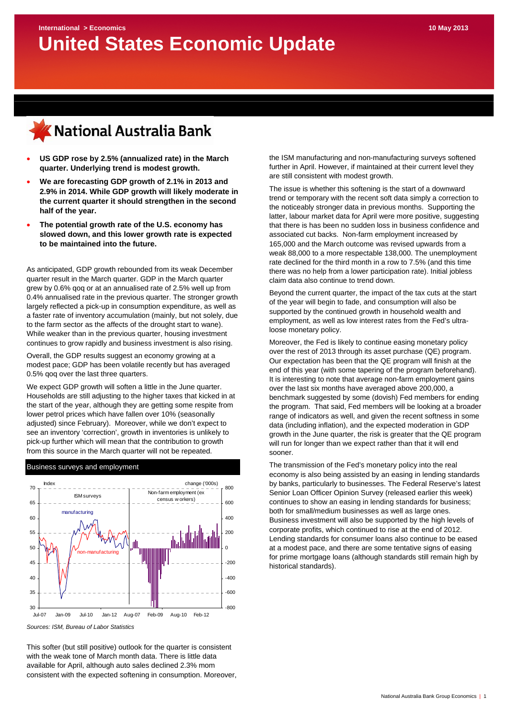

- **US GDP rose by 2.5% (annualized rate) in the March quarter. Underlying trend is modest growth.**
- **We are forecasting GDP growth of 2.1% in 2013 and 2.9% in 2014. While GDP growth will likely moderate in the current quarter it should strengthen in the second half of the year.**
- **The potential growth rate of the U.S. economy has slowed down, and this lower growth rate is expected to be maintained into the future.**

As anticipated, GDP growth rebounded from its weak December quarter result in the March quarter. GDP in the March quarter grew by 0.6% qoq or at an annualised rate of 2.5% well up from 0.4% annualised rate in the previous quarter. The stronger growth largely reflected a pick-up in consumption expenditure, as well as a faster rate of inventory accumulation (mainly, but not solely, due to the farm sector as the affects of the drought start to wane). While weaker than in the previous quarter, housing investment continues to grow rapidly and business investment is also rising.

Overall, the GDP results suggest an economy growing at a modest pace; GDP has been volatile recently but has averaged 0.5% qoq over the last three quarters.

We expect GDP growth will soften a little in the June quarter. Households are still adjusting to the higher taxes that kicked in at the start of the year, although they are getting some respite from lower petrol prices which have fallen over 10% (seasonally adjusted) since February). Moreover, while we don't expect to see an inventory 'correction', growth in inventories is unlikely to pick-up further which will mean that the contribution to growth from this source in the March quarter will not be repeated.



*Sources: ISM, Bureau of Labor Statistics* 

This softer (but still positive) outlook for the quarter is consistent with the weak tone of March month data. There is little data available for April, although auto sales declined 2.3% mom consistent with the expected softening in consumption. Moreover,

the ISM manufacturing and non-manufacturing surveys softened further in April. However, if maintained at their current level they are still consistent with modest growth.

The issue is whether this softening is the start of a downward trend or temporary with the recent soft data simply a correction to the noticeably stronger data in previous months. Supporting the latter, labour market data for April were more positive, suggesting that there is has been no sudden loss in business confidence and associated cut backs. Non-farm employment increased by 165,000 and the March outcome was revised upwards from a weak 88,000 to a more respectable 138,000. The unemployment rate declined for the third month in a row to 7.5% (and this time there was no help from a lower participation rate). Initial jobless claim data also continue to trend down.

Beyond the current quarter, the impact of the tax cuts at the start of the year will begin to fade, and consumption will also be supported by the continued growth in household wealth and employment, as well as low interest rates from the Fed's ultraloose monetary policy.

Moreover, the Fed is likely to continue easing monetary policy over the rest of 2013 through its asset purchase (QE) program. Our expectation has been that the QE program will finish at the end of this year (with some tapering of the program beforehand). It is interesting to note that average non-farm employment gains over the last six months have averaged above 200,000, a benchmark suggested by some (dovish) Fed members for ending the program. That said, Fed members will be looking at a broader range of indicators as well, and given the recent softness in some data (including inflation), and the expected moderation in GDP growth in the June quarter, the risk is greater that the QE program will run for longer than we expect rather than that it will end sooner.

The transmission of the Fed's monetary policy into the real economy is also being assisted by an easing in lending standards by banks, particularly to businesses. The Federal Reserve's latest Senior Loan Officer Opinion Survey (released earlier this week) continues to show an easing in lending standards for business; both for small/medium businesses as well as large ones. Business investment will also be supported by the high levels of corporate profits, which continued to rise at the end of 2012. Lending standards for consumer loans also continue to be eased at a modest pace, and there are some tentative signs of easing for prime mortgage loans (although standards still remain high by historical standards).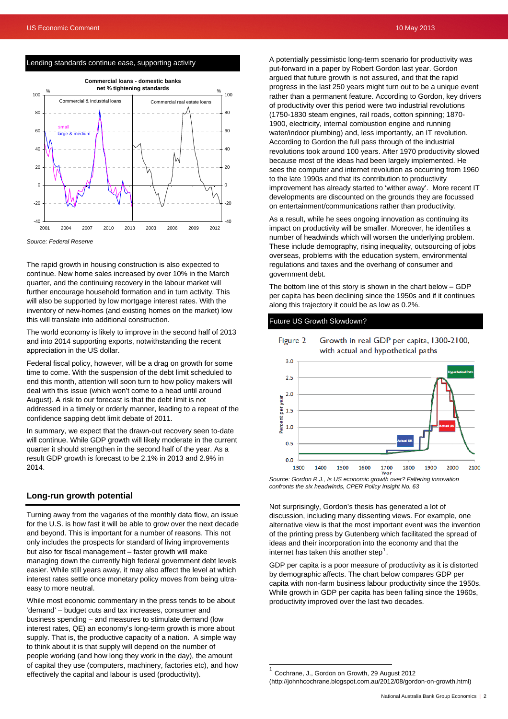### Lending standards continue ease, supporting activity



*Source: Federal Reserve* 

The rapid growth in housing construction is also expected to continue. New home sales increased by over 10% in the March quarter, and the continuing recovery in the labour market will further encourage household formation and in turn activity. This will also be supported by low mortgage interest rates. With the inventory of new-homes (and existing homes on the market) low this will translate into additional construction.

The world economy is likely to improve in the second half of 2013 and into 2014 supporting exports, notwithstanding the recent appreciation in the US dollar.

Federal fiscal policy, however, will be a drag on growth for some time to come. With the suspension of the debt limit scheduled to end this month, attention will soon turn to how policy makers will deal with this issue (which won't come to a head until around August). A risk to our forecast is that the debt limit is not addressed in a timely or orderly manner, leading to a repeat of the confidence sapping debt limit debate of 2011.

In summary, we expect that the drawn-out recovery seen to-date will continue. While GDP growth will likely moderate in the current quarter it should strengthen in the second half of the year. As a result GDP growth is forecast to be 2.1% in 2013 and 2.9% in 2014.

### **Long-run growth potential**

Turning away from the vagaries of the monthly data flow, an issue for the U.S. is how fast it will be able to grow over the next decade and beyond. This is important for a number of reasons. This not only includes the prospects for standard of living improvements but also for fiscal management – faster growth will make managing down the currently high federal government debt levels easier. While still years away, it may also affect the level at which interest rates settle once monetary policy moves from being ultraeasy to more neutral.

<span id="page-1-0"></span>While most economic commentary in the press tends to be about 'demand' – budget cuts and tax increases, consumer and business spending – and measures to stimulate demand (low interest rates, QE) an economy's long-term growth is more about supply. That is, the productive capacity of a nation. A simple way to think about it is that supply will depend on the number of people working (and how long they work in the day), the amount of capital they use (computers, machinery, factories etc), and how effectively the capital and labour is used (productivity).

A potentially pessimistic long-term scenario for productivity was put-forward in a paper by Robert Gordon last year. Gordon argued that future growth is not assured, and that the rapid progress in the last 250 years might turn out to be a unique event rather than a permanent feature. According to Gordon, key drivers of productivity over this period were two industrial revolutions (1750-1830 steam engines, rail roads, cotton spinning; 1870- 1900, electricity, internal combustion engine and running water/indoor plumbing) and, less importantly, an IT revolution. According to Gordon the full pass through of the industrial revolutions took around 100 years. After 1970 productivity slowed because most of the ideas had been largely implemented. He sees the computer and internet revolution as occurring from 1960 to the late 1990s and that its contribution to productivity improvement has already started to 'wither away'. More recent IT developments are discounted on the grounds they are focussed on entertainment/communications rather than productivity.

As a result, while he sees ongoing innovation as continuing its impact on productivity will be smaller. Moreover, he identifies a number of headwinds which will worsen the underlying problem. These include demography, rising inequality, outsourcing of jobs overseas, problems with the education system, environmental regulations and taxes and the overhang of consumer and government debt.

The bottom line of this story is shown in the chart below – GDP per capita has been declining since the 1950s and if it continues along this trajectory it could be as low as 0.2%.

Growth in real GDP per capita, 1300-2100,

### Future US Growth Slowdown?

Figure 2



*confronts the six headwinds, CPER Policy Insight No. 63* 

Not surprisingly, Gordon's thesis has generated a lot of discussion, including many dissenting views. For example, one alternative view is that the most important event was the invention of the printing press by Gutenberg which facilitated the spread of ideas and their incorporation into the economy and that the internet has taken this another step<sup>[1](#page-1-0)</sup>.

GDP per capita is a poor measure of productivity as it is distorted by demographic affects. The chart below compares GDP per capita with non-farm business labour productivity since the 1950s. While growth in GDP per capita has been falling since the 1960s, productivity improved over the last two decades.

Cochrane, J., Gordon on Growth, 29 August 2012 (http://johnhcochrane.blogspot.com.au/2012/08/gordon-on-growth.html)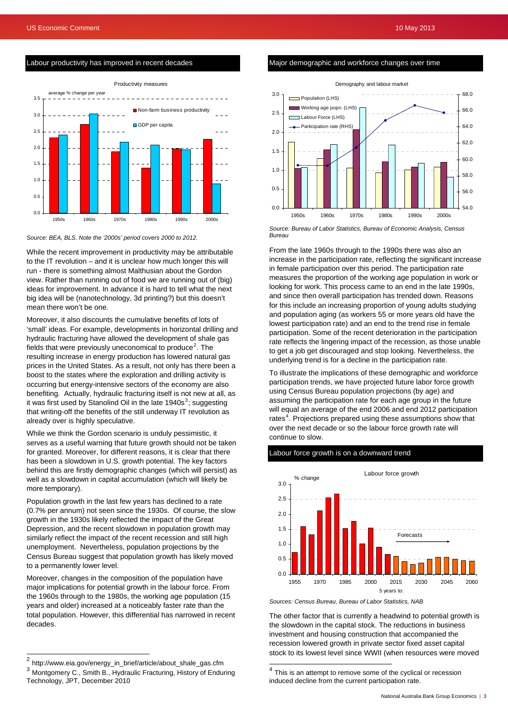### Labour productivity has improved in recent decades



#### *Source: BEA, BLS. Note the '2000s' period covers 2000 to 2012.*

While the recent improvement in productivity may be attributable to the IT revolution – and it is unclear how much longer this will run - there is something almost Malthusian about the Gordon view. Rather than running out of food we are running out of (big) ideas for improvement. In advance it is hard to tell what the next big idea will be (nanotechnology, 3d printing?) but this doesn't mean there won't be one.

Moreover, it also discounts the cumulative benefits of lots of 'small' ideas. For example, developments in horizontal drilling and hydraulic fracturing have allowed the development of shale gas fields that were previously uneconomical to produce<sup>[2](#page-2-0)</sup>. The resulting increase in energy production has lowered natural gas prices in the United States. As a result, not only has there been a boost to the states where the exploration and drilling activity is occurring but energy-intensive sectors of the economy are also benefiting. Actually, hydraulic fracturing itself is not new at all, as it was first used by Stanolind Oil in the late 1940s<sup>[3](#page-2-1)</sup>; suggesting that writing-off the benefits of the still underway IT revolution as already over is highly speculative.

While we think the Gordon scenario is unduly pessimistic, it serves as a useful warning that future growth should not be taken for granted. Moreover, for different reasons, it is clear that there has been a slowdown in U.S. growth potential. The key factors behind this are firstly demographic changes (which will persist) as well as a slowdown in capital accumulation (which will likely be more temporary).

Population growth in the last few years has declined to a rate (0.7% per annum) not seen since the 1930s. Of course, the slow growth in the 1930s likely reflected the impact of the Great Depression, and the recent slowdown in population growth may similarly reflect the impact of the recent recession and still high unemployment. Nevertheless, population projections by the Census Bureau suggest that population growth has likely moved to a permanently lower level.

Moreover, changes in the composition of the population have major implications for potential growth in the labour force. From the 1960s through to the 1980s, the working age population (15 years and older) increased at a noticeably faster rate than the total population. However, this differential has narrowed in recent decades.

### Major demographic and workforce changes over time



 *Source: Bureau of Labor Statistics, Bureau of Economic Analysis, Census Bureau* 

From the late 1960s through to the 1990s there was also an increase in the participation rate, reflecting the significant increase in female participation over this period. The participation rate measures the proportion of the working age population in work or looking for work. This process came to an end in the late 1990s, and since then overall participation has trended down. Reasons for this include an increasing proportion of young adults studying and population aging (as workers 55 or more years old have the lowest participation rate) and an end to the trend rise in female participation. Some of the recent deterioration in the participation rate reflects the lingering impact of the recession, as those unable to get a job get discouraged and stop looking. Nevertheless, the underlying trend is for a decline in the participation rate.

To illustrate the implications of these demographic and workforce participation trends, we have projected future labor force growth using Census Bureau population projections (by age) and assuming the participation rate for each age group in the future will equal an average of the end 2006 and end 2012 participation rates<sup>[4](#page-2-1)</sup>. Projections prepared using these assumptions show that over the next decade or so the labour force growth rate will continue to slow.

### Labour force growth is on a downward trend



*Sources: Census Bureau, Bureau of Labor Statistics, NAB* 

 $\overline{\phantom{a}}$ 

The other factor that is currently a headwind to potential growth is the slowdown in the capital stock. The reductions in business investment and housing construction that accompanied the recession lowered growth in private sector fixed asset capital stock to its lowest level since WWII (when resources were moved

<span id="page-2-1"></span><span id="page-2-0"></span> $2$  http://www.eia.gov/energy\_in\_brief/article/about\_shale\_gas.cfm <sup>3</sup> Montgomery C., Smith B., Hydraulic Fracturing, History of Enduring Technology, JPT, December 2010

 $4$  This is an attempt to remove some of the cyclical or recession induced decline from the current participation rate.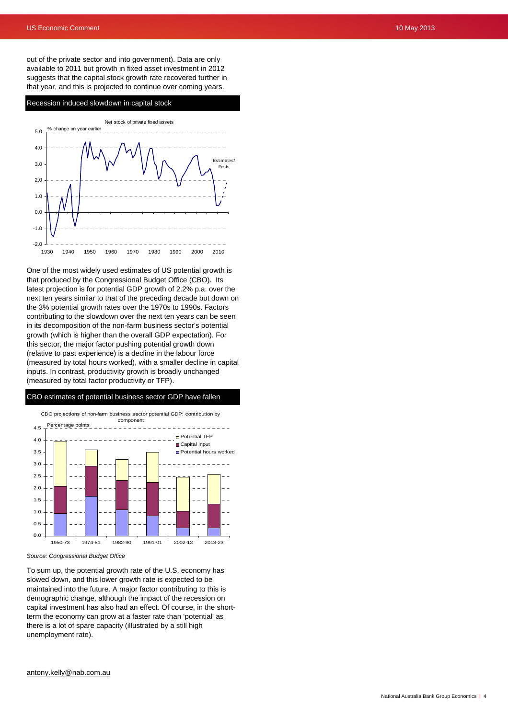out of the private sector and into government). Data are only available to 2011 but growth in fixed asset investment in 2012 suggests that the capital stock growth rate recovered further in that year, and this is projected to continue over coming years.

### Recession induced slowdown in capital stock



One of the most widely used estimates of US potential growth is that produced by the Congressional Budget Office (CBO). Its latest projection is for potential GDP growth of 2.2% p.a. over the next ten years similar to that of the preceding decade but down on the 3% potential growth rates over the 1970s to 1990s. Factors contributing to the slowdown over the next ten years can be seen in its decomposition of the non-farm business sector's potential growth (which is higher than the overall GDP expectation). For this sector, the major factor pushing potential growth down (relative to past experience) is a decline in the labour force (measured by total hours worked), with a smaller decline in capital inputs. In contrast, productivity growth is broadly unchanged (measured by total factor productivity or TFP).

### CBO estimates of potential business sector GDP have fallen



*Source: Congressional Budget Office* 

To sum up, the potential growth rate of the U.S. economy has slowed down, and this lower growth rate is expected to be maintained into the future. A major factor contributing to this is demographic change, although the impact of the recession on capital investment has also had an effect. Of course, in the shortterm the economy can grow at a faster rate than 'potential' as there is a lot of spare capacity (illustrated by a still high unemployment rate).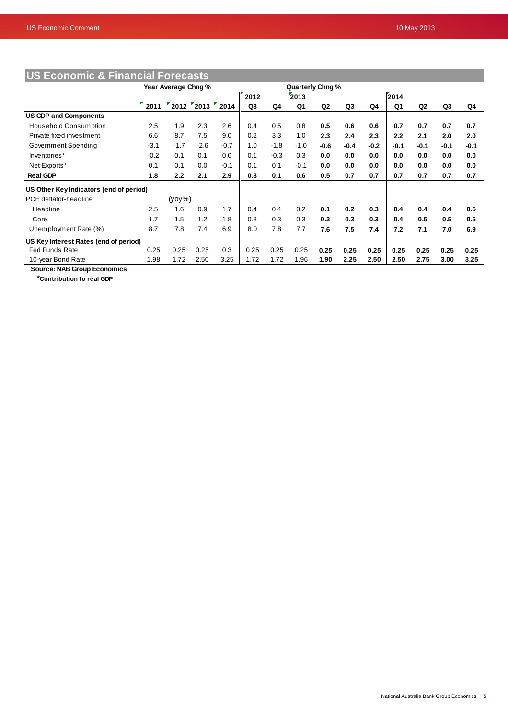٠

| <b>US Economic &amp; Financial Forecasts</b> |                     |           |                  |        |                  |        |        |                |        |        |        |                |        |        |
|----------------------------------------------|---------------------|-----------|------------------|--------|------------------|--------|--------|----------------|--------|--------|--------|----------------|--------|--------|
|                                              | Year Average Chng % |           |                  |        | Quarterly Chng % |        |        |                |        |        |        |                |        |        |
|                                              |                     |           |                  |        | 2012             |        | 2013   |                |        |        | 2014   |                |        |        |
|                                              | $\frac{1}{2}$ 2011  |           | "2012"2013"2014" |        | Q3               | Q4     | Q1     | Q <sub>2</sub> | Q3     | Q4     | Q1     | Q <sub>2</sub> | Q3     | Q4     |
| <b>US GDP and Components</b>                 |                     |           |                  |        |                  |        |        |                |        |        |        |                |        |        |
| <b>Household Consumption</b>                 | 2.5                 | 1.9       | 2.3              | 2.6    | 0.4              | 0.5    | 0.8    | 0.5            | 0.6    | 0.6    | 0.7    | 0.7            | 0.7    | 0.7    |
| Private fixed investment                     | 6.6                 | 8.7       | 7.5              | 9.0    | 0.2              | 3.3    | 1.0    | 2.3            | 2.4    | 2.3    | 2.2    | 2.1            | 2.0    | 2.0    |
| Government Spending                          | $-3.1$              | $-1.7$    | $-2.6$           | $-0.7$ | 1.0              | $-1.8$ | $-1.0$ | $-0.6$         | $-0.4$ | $-0.2$ | $-0.1$ | $-0.1$         | $-0.1$ | $-0.1$ |
| Inventories*                                 | $-0.2$              | 0.1       | 0.1              | 0.0    | 0.1              | $-0.3$ | 0.3    | 0.0            | 0.0    | 0.0    | 0.0    | 0.0            | 0.0    | 0.0    |
| Net Exports*                                 | 0.1                 | 0.1       | 0.0              | $-0.1$ | 0.1              | 0.1    | $-0.1$ | 0.0            | 0.0    | 0.0    | 0.0    | 0.0            | 0.0    | 0.0    |
| <b>Real GDP</b>                              | 1.8                 | 2.2       | 2.1              | 2.9    | 0.8              | 0.1    | 0.6    | 0.5            | 0.7    | 0.7    | 0.7    | 0.7            | 0.7    | 0.7    |
| US Other Key Indicators (end of period)      |                     |           |                  |        |                  |        |        |                |        |        |        |                |        |        |
| PCE deflator-headline                        |                     | $(yoy\%)$ |                  |        |                  |        |        |                |        |        |        |                |        |        |
| Headline                                     | 2.5                 | 1.6       | 0.9              | 1.7    | 0.4              | 0.4    | 0.2    | 0.1            | 0.2    | 0.3    | 0.4    | 0.4            | 0.4    | 0.5    |
| Core                                         | 1.7                 | 1.5       | 1.2              | 1.8    | 0.3              | 0.3    | 0.3    | 0.3            | 0.3    | 0.3    | 0.4    | 0.5            | 0.5    | 0.5    |
| Unemployment Rate (%)                        | 8.7                 | 7.8       | 7.4              | 6.9    | 8.0              | 7.8    | 7.7    | 7.6            | 7.5    | 7.4    | 7.2    | 7.1            | 7.0    | 6.9    |
| US Key Interest Rates (end of period)        |                     |           |                  |        |                  |        |        |                |        |        |        |                |        |        |
| <b>Fed Funds Rate</b>                        | 0.25                | 0.25      | 0.25             | 0.3    | 0.25             | 0.25   | 0.25   | 0.25           | 0.25   | 0.25   | 0.25   | 0.25           | 0.25   | 0.25   |
| 10-year Bond Rate                            | 1.98                | 1.72      | 2.50             | 3.25   | 1.72             | 1.72   | 1.96   | 1.90           | 2.25   | 2.50   | 2.50   | 2.75           | 3.00   | 3.25   |

 **Source: NAB Group Economics**

 **\*Contribution to real GDP**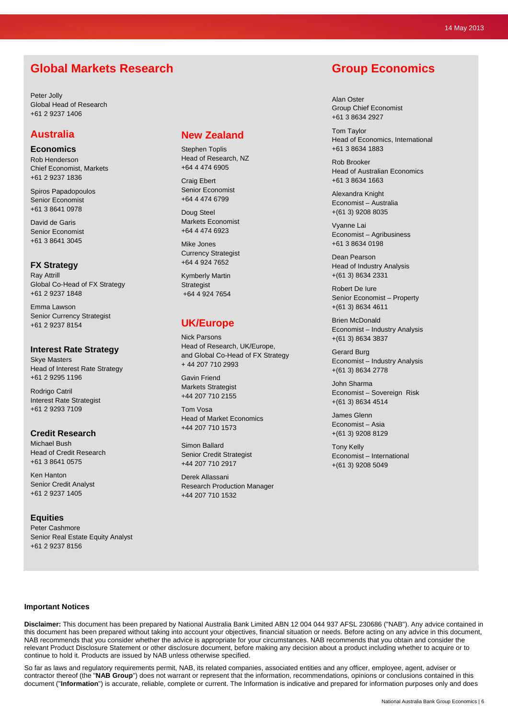# **Global Markets Research**

Peter Jolly Global Head of Research +61 2 9237 1406

### **Australia**

**Economics**  Rob Henderson Chief Economist, Markets +61 2 9237 1836

Spiros Papadopoulos Senior Economist +61 3 8641 0978

David de Garis Senior Economist +61 3 8641 3045

### **FX Strategy**

Ray Attrill Global Co-Head of FX Strategy +61 2 9237 1848

Emma Lawson Senior Currency Strategist +61 2 9237 8154

### **Interest Rate Strategy**

Skye Masters Head of Interest Rate Strategy +61 2 9295 1196

Rodrigo Catril Interest Rate Strategist +61 2 9293 7109

### **Credit Research**

Michael Bush Head of Credit Research +61 3 8641 0575

Ken Hanton Senior Credit Analyst +61 2 9237 1405

### **Equities**

Peter Cashmore Senior Real Estate Equity Analyst +61 2 9237 8156

## **New Zealand**

Stephen Toplis Head of Research, NZ +64 4 474 6905

Craig Ebert Senior Economist +64 4 474 6799

Doug Steel Markets Economist +64 4 474 6923

Mike Jones Currency Strategist +64 4 924 7652

Kymberly Martin **Strategist** +64 4 924 7654

# **UK/Europe**

Nick Parsons Head of Research, UK/Europe, and Global Co-Head of FX Strategy + 44 207 710 2993

Gavin Friend Markets Strategist +44 207 710 2155

Tom Vosa Head of Market Economics +44 207 710 1573

Simon Ballard Senior Credit Strategist +44 207 710 2917

Derek Allassani Research Production Manager +44 207 710 1532

# **Group Economics**

Alan Oster Group Chief Economist +61 3 8634 2927

Tom Taylor Head of Economics, International +61 3 8634 1883

Rob Brooker Head of Australian Economics +61 3 8634 1663

Alexandra Knight Economist – Australia +(61 3) 9208 8035

Vyanne Lai Economist – Agribusiness +61 3 8634 0198

Dean Pearson Head of Industry Analysis +(61 3) 8634 2331

Robert De Iure Senior Economist – Property +(61 3) 8634 4611

Brien McDonald Economist – Industry Analysis +(61 3) 8634 3837

Gerard Burg Economist – Industry Analysis +(61 3) 8634 2778

John Sharma Economist – Sovereign Risk +(61 3) 8634 4514

James Glenn Economist – Asia +(61 3) 9208 8129

Tony Kelly Economist – International +(61 3) 9208 5049

### **Important Notices**

**Disclaimer:** This document has been prepared by National Australia Bank Limited ABN 12 004 044 937 AFSL 230686 ("NAB"). Any advice contained in this document has been prepared without taking into account your objectives, financial situation or needs. Before acting on any advice in this document, NAB recommends that you consider whether the advice is appropriate for your circumstances. NAB recommends that you obtain and consider the relevant Product Disclosure Statement or other disclosure document, before making any decision about a product including whether to acquire or to continue to hold it. Products are issued by NAB unless otherwise specified.

So far as laws and regulatory requirements permit, NAB, its related companies, associated entities and any officer, employee, agent, adviser or contractor thereof (the "**NAB Group**") does not warrant or represent that the information, recommendations, opinions or conclusions contained in this document ("**Information**") is accurate, reliable, complete or current. The Information is indicative and prepared for information purposes only and does